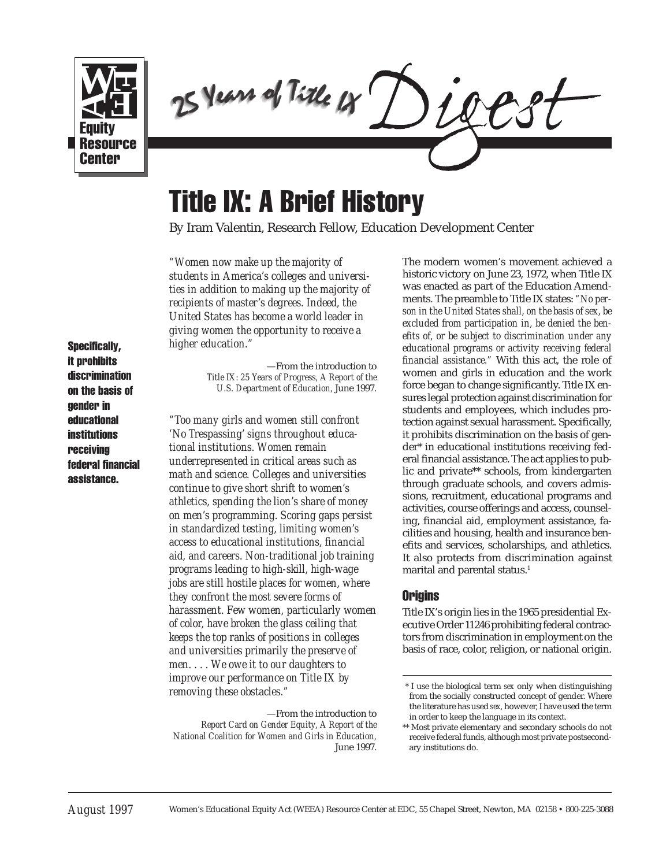

25 Years of Title 18 25 Years of Title 18 ears of Title 25 Years of Title 18

# Title IX: A Brief History

By Iram Valentin, Research Fellow, Education Development Center

*"Women now make up the majority of students in America's colleges and universities in addition to making up the majority of recipients of master's degrees. Indeed, the United States has become a world leader in giving women the opportunity to receive a higher education."*

Specifically, it prohibits discrimination on the basis of gender in educational institutions receiving federal financial assistance.

—From the introduction to *Title IX: 25 Years of Progress, A Report of the U.S. Department of Education,* June 1997.

*"Too many girls and women still confront 'No Trespassing' signs throughout educational institutions. Women remain underrepresented in critical areas such as math and science. Colleges and universities continue to give short shrift to women's athletics, spending the lion's share of money on men's programming. Scoring gaps persist in standardized testing, limiting women's access to educational institutions, financial aid, and careers. Non-traditional job training programs leading to high-skill, high-wage jobs are still hostile places for women, where they confront the most severe forms of harassment. Few women, particularly women of color, have broken the glass ceiling that keeps the top ranks of positions in colleges and universities primarily the preserve of men. . . . We owe it to our daughters to improve our performance on Title IX by removing these obstacles."*

The modern women's movement achieved a historic victory on June 23, 1972, when Title IX was enacted as part of the Education Amendments. The preamble to Title IX states: *"No person in the United States shall, on the basis of sex, be excluded from participation in, be denied the benefits of, or be subject to discrimination under any educational programs or activity receiving federal financial assistance."* With this act, the role of women and girls in education and the work force began to change significantly. Title IX ensures legal protection against discrimination for students and employees, which includes protection against sexual harassment. Specifically, it prohibits discrimination on the basis of gender\* in educational institutions receiving federal financial assistance. The act applies to public and private\*\* schools, from kindergarten through graduate schools, and covers admissions, recruitment, educational programs and activities, course offerings and access, counseling, financial aid, employment assistance, facilities and housing, health and insurance benefits and services, scholarships, and athletics. It also protects from discrimination against marital and parental status.<sup>1</sup>

## **Origins**

Title IX's origin lies in the 1965 presidential Executive Order 11246 prohibiting federal contractors from discrimination in employment on the basis of race, color, religion, or national origin.

<sup>—</sup>From the introduction to *Report Card on Gender Equity, A Report of the National Coalition for Women and Girls in Education,* June 1997.

 <sup>\*</sup> I use the biological term *sex* only when distinguishing from the socially constructed concept of gender. Where the literature has used *sex,* however, I have used the term in order to keep the language in its context.

<sup>\*\*</sup> Most private elementary and secondary schools do not receive federal funds, although most private postsecondary institutions do.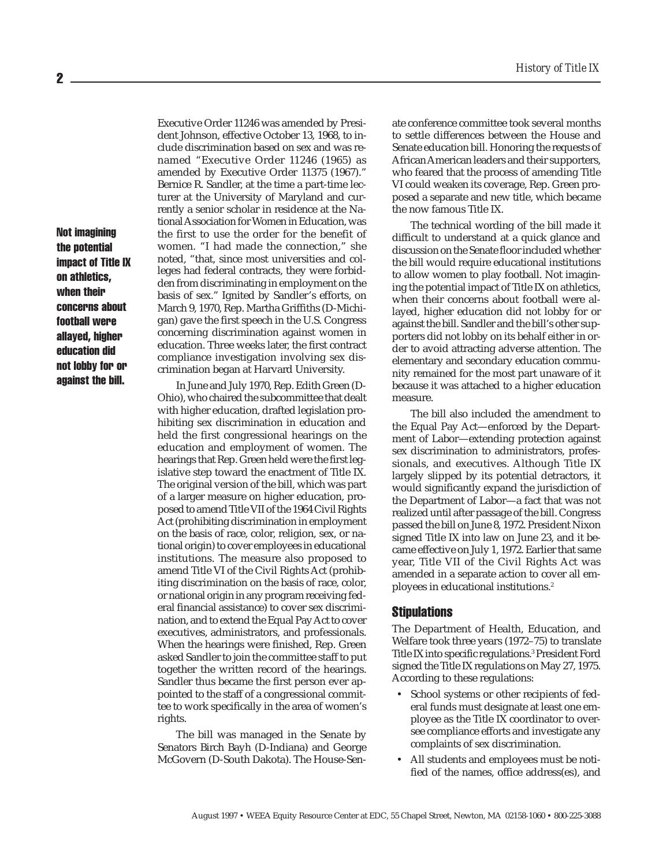Not imagining the potential impact of Title IX on athletics, when their concerns about football were allayed, higher education did not lobby for or against the bill.

Executive Order 11246 was amended by President Johnson, effective October 13, 1968, to include discrimination based on sex and was renamed "Executive Order 11246 (1965) as amended by Executive Order 11375 (1967)." Bernice R. Sandler, at the time a part-time lecturer at the University of Maryland and currently a senior scholar in residence at the National Association for Women in Education, was the first to use the order for the benefit of women. "I had made the connection," she noted, "that, since most universities and colleges had federal contracts, they were forbidden from discriminating in employment on the basis of sex." Ignited by Sandler's efforts, on March 9, 1970, Rep. Martha Griffiths (D-Michigan) gave the first speech in the U.S. Congress concerning discrimination against women in education. Three weeks later, the first contract compliance investigation involving sex discrimination began at Harvard University.

In June and July 1970, Rep. Edith Green (D-Ohio), who chaired the subcommittee that dealt with higher education, drafted legislation prohibiting sex discrimination in education and held the first congressional hearings on the education and employment of women. The hearings that Rep. Green held were the first legislative step toward the enactment of Title IX. The original version of the bill, which was part of a larger measure on higher education, proposed to amend Title VII of the 1964 Civil Rights Act (prohibiting discrimination in employment on the basis of race, color, religion, sex, or national origin) to cover employees in educational institutions. The measure also proposed to amend Title VI of the Civil Rights Act (prohibiting discrimination on the basis of race, color, or national origin in any program receiving federal financial assistance) to cover sex discrimination, and to extend the Equal Pay Act to cover executives, administrators, and professionals. When the hearings were finished, Rep. Green asked Sandler to join the committee staff to put together the written record of the hearings. Sandler thus became the first person ever appointed to the staff of a congressional committee to work specifically in the area of women's rights.

The bill was managed in the Senate by Senators Birch Bayh (D-Indiana) and George McGovern (D-South Dakota). The House-Senate conference committee took several months to settle differences between the House and Senate education bill. Honoring the requests of African American leaders and their supporters, who feared that the process of amending Title VI could weaken its coverage, Rep. Green proposed a separate and new title, which became the now famous Title IX.

The technical wording of the bill made it difficult to understand at a quick glance and discussion on the Senate floor included whether the bill would require educational institutions to allow women to play football. Not imagining the potential impact of Title IX on athletics, when their concerns about football were allayed, higher education did not lobby for or against the bill. Sandler and the bill's other supporters did not lobby on its behalf either in order to avoid attracting adverse attention. The elementary and secondary education community remained for the most part unaware of it because it was attached to a higher education measure.

The bill also included the amendment to the Equal Pay Act—enforced by the Department of Labor—extending protection against sex discrimination to administrators, professionals, and executives. Although Title IX largely slipped by its potential detractors, it would significantly expand the jurisdiction of the Department of Labor—a fact that was not realized until after passage of the bill. Congress passed the bill on June 8, 1972. President Nixon signed Title IX into law on June 23, and it became effective on July 1, 1972. Earlier that same year, Title VII of the Civil Rights Act was amended in a separate action to cover all employees in educational institutions.2

#### Stipulations

The Department of Health, Education, and Welfare took three years (1972–75) to translate Title IX into specific regulations.3 President Ford signed the Title IX regulations on May 27, 1975. According to these regulations:

- School systems or other recipients of federal funds must designate at least one employee as the Title IX coordinator to oversee compliance efforts and investigate any complaints of sex discrimination.
- All students and employees must be notified of the names, office address(es), and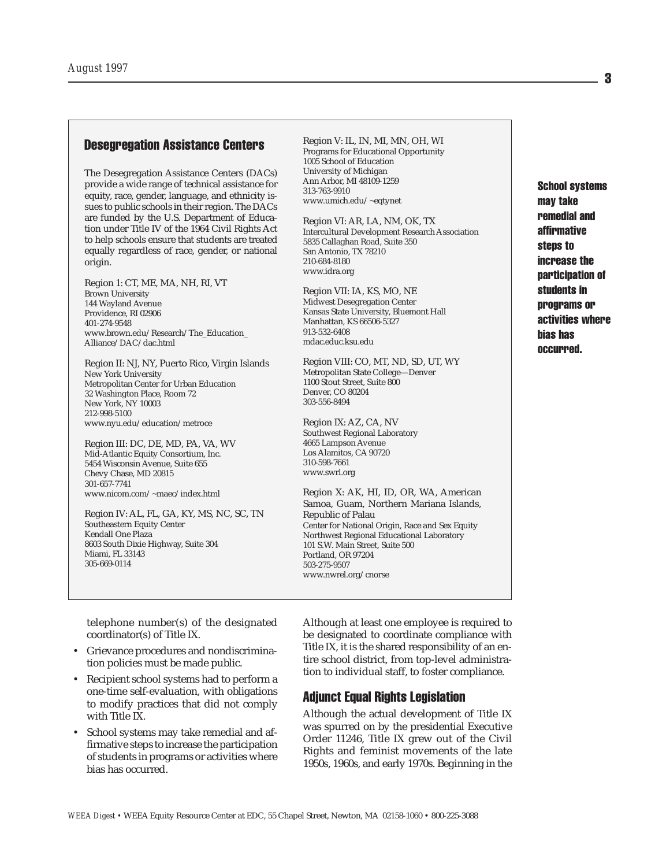### **Desegregation Assistance Centers** Region V: IL, IN, MI, MN, OH, WI

The Desegregation Assistance Centers (DACs) provide a wide range of technical assistance for equity, race, gender, language, and ethnicity issues to public schools in their region. The DACs are funded by the U.S. Department of Education under Title IV of the 1964 Civil Rights Act to help schools ensure that students are treated equally regardless of race, gender, or national origin.

Region 1: CT, ME, MA, NH, RI, VT Brown University 144 Wayland Avenue Providence, RI 02906 401-274-9548 www.brown.edu/Research/The\_Education\_ Alliance/DAC/dac.html

Region II: NJ, NY, Puerto Rico, Virgin Islands New York University Metropolitan Center for Urban Education 32 Washington Place, Room 72 New York, NY 10003 212-998-5100 www.nyu.edu/education/metroce

Region III: DC, DE, MD, PA, VA, WV Mid-Atlantic Equity Consortium, Inc. 5454 Wisconsin Avenue, Suite 655 Chevy Chase, MD 20815 301-657-7741 www.nicom.com/~maec/index.html

Region IV: AL, FL, GA, KY, MS, NC, SC, TN Southeastern Equity Center Kendall One Plaza 8603 South Dixie Highway, Suite 304 Miami, FL 33143 305-669-0114

Programs for Educational Opportunity 1005 School of Education University of Michigan Ann Arbor, MI 48109-1259 313-763-9910 www.umich.edu/~eqtynet

Region VI: AR, LA, NM, OK, TX Intercultural Development Research Association 5835 Callaghan Road, Suite 350 San Antonio, TX 78210 210-684-8180 www.idra.org

Region VII: IA, KS, MO, NE Midwest Desegregation Center Kansas State University, Bluemont Hall Manhattan, KS 66506-5327 913-532-6408 mdac.educ.ksu.edu

Region VIII: CO, MT, ND, SD, UT, WY Metropolitan State College—Denver 1100 Stout Street, Suite 800 Denver, CO 80204 303-556-8494

Region IX: AZ, CA, NV Southwest Regional Laboratory 4665 Lampson Avenue Los Alamitos, CA 90720 310-598-7661 www.swrl.org

Region X: AK, HI, ID, OR, WA, American Samoa, Guam, Northern Mariana Islands, Republic of Palau Center for National Origin, Race and Sex Equity Northwest Regional Educational Laboratory 101 S.W. Main Street, Suite 500 Portland, OR 97204 503-275-9507 www.nwrel.org/cnorse

School systems may take remedial and affirmative steps to increase the participation of students in programs or activities where bias has occurred.

telephone number(s) of the designated coordinator(s) of Title IX.

- Grievance procedures and nondiscrimination policies must be made public.
- Recipient school systems had to perform a one-time self-evaluation, with obligations to modify practices that did not comply with Title IX.
- School systems may take remedial and affirmative steps to increase the participation of students in programs or activities where bias has occurred.

Although at least one employee is required to be designated to coordinate compliance with Title IX, it is the shared responsibility of an entire school district, from top-level administration to individual staff, to foster compliance.

#### Adjunct Equal Rights Legislation

Although the actual development of Title IX was spurred on by the presidential Executive Order 11246, Title IX grew out of the Civil Rights and feminist movements of the late 1950s, 1960s, and early 1970s. Beginning in the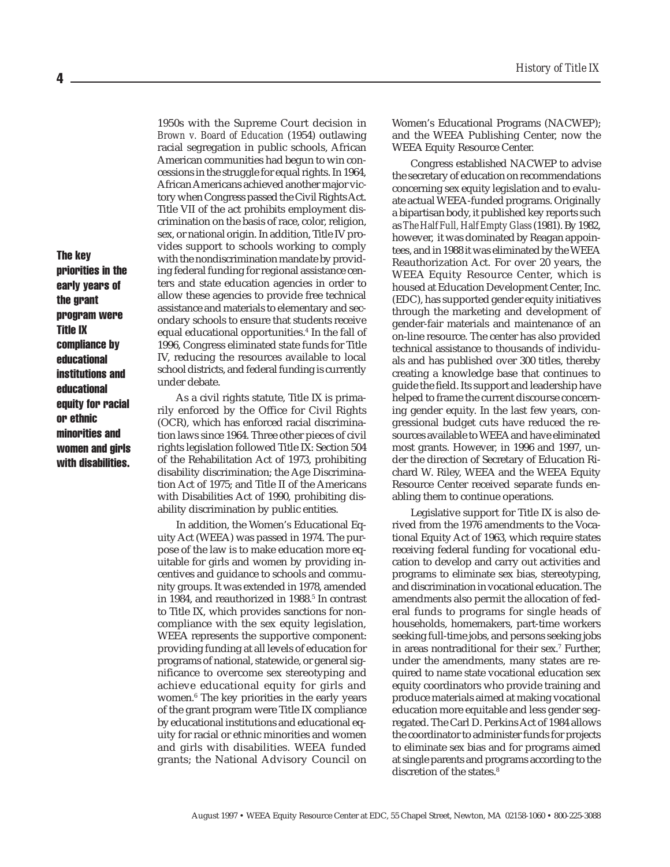1950s with the Supreme Court decision in *Brown v. Board of Education* (1954) outlawing racial segregation in public schools, African American communities had begun to win concessions in the struggle for equal rights. In 1964, African Americans achieved another major victory when Congress passed the Civil Rights Act. Title VII of the act prohibits employment discrimination on the basis of race, color, religion, sex, or national origin. In addition, Title IV provides support to schools working to comply with the nondiscrimination mandate by providing federal funding for regional assistance centers and state education agencies in order to allow these agencies to provide free technical assistance and materials to elementary and secondary schools to ensure that students receive equal educational opportunities.4 In the fall of 1996, Congress eliminated state funds for Title IV, reducing the resources available to local school districts, and federal funding is currently under debate.

As a civil rights statute, Title IX is primarily enforced by the Office for Civil Rights (OCR), which has enforced racial discrimination laws since 1964. Three other pieces of civil rights legislation followed Title IX: Section 504 of the Rehabilitation Act of 1973, prohibiting disability discrimination; the Age Discrimination Act of 1975; and Title II of the Americans with Disabilities Act of 1990, prohibiting disability discrimination by public entities.

In addition, the Women's Educational Equity Act (WEEA) was passed in 1974. The purpose of the law is to make education more equitable for girls and women by providing incentives and guidance to schools and community groups. It was extended in 1978, amended in 1984, and reauthorized in 1988.<sup>5</sup> In contrast to Title IX, which provides sanctions for noncompliance with the sex equity legislation, WEEA represents the supportive component: providing funding at all levels of education for programs of national, statewide, or general significance to overcome sex stereotyping and achieve educational equity for girls and women.6 The key priorities in the early years of the grant program were Title IX compliance by educational institutions and educational equity for racial or ethnic minorities and women and girls with disabilities. WEEA funded grants; the National Advisory Council on

Women's Educational Programs (NACWEP); and the WEEA Publishing Center, now the WEEA Equity Resource Center.

Congress established NACWEP to advise the secretary of education on recommendations concerning sex equity legislation and to evaluate actual WEEA-funded programs. Originally a bipartisan body, it published key reports such as *The Half Full, Half Empty Glass* (1981). By 1982, however, it was dominated by Reagan appointees, and in 1988 it was eliminated by the WEEA Reauthorization Act. For over 20 years, the WEEA Equity Resource Center, which is housed at Education Development Center, Inc. (EDC), has supported gender equity initiatives through the marketing and development of gender-fair materials and maintenance of an on-line resource. The center has also provided technical assistance to thousands of individuals and has published over 300 titles, thereby creating a knowledge base that continues to guide the field. Its support and leadership have helped to frame the current discourse concerning gender equity. In the last few years, congressional budget cuts have reduced the resources available to WEEA and have eliminated most grants. However, in 1996 and 1997, under the direction of Secretary of Education Richard W. Riley, WEEA and the WEEA Equity Resource Center received separate funds enabling them to continue operations.

Legislative support for Title IX is also derived from the 1976 amendments to the Vocational Equity Act of 1963, which require states receiving federal funding for vocational education to develop and carry out activities and programs to eliminate sex bias, stereotyping, and discrimination in vocational education. The amendments also permit the allocation of federal funds to programs for single heads of households, homemakers, part-time workers seeking full-time jobs, and persons seeking jobs in areas nontraditional for their sex.7 Further, under the amendments, many states are required to name state vocational education sex equity coordinators who provide training and produce materials aimed at making vocational education more equitable and less gender segregated. The Carl D. Perkins Act of 1984 allows the coordinator to administer funds for projects to eliminate sex bias and for programs aimed at single parents and programs according to the discretion of the states.<sup>8</sup>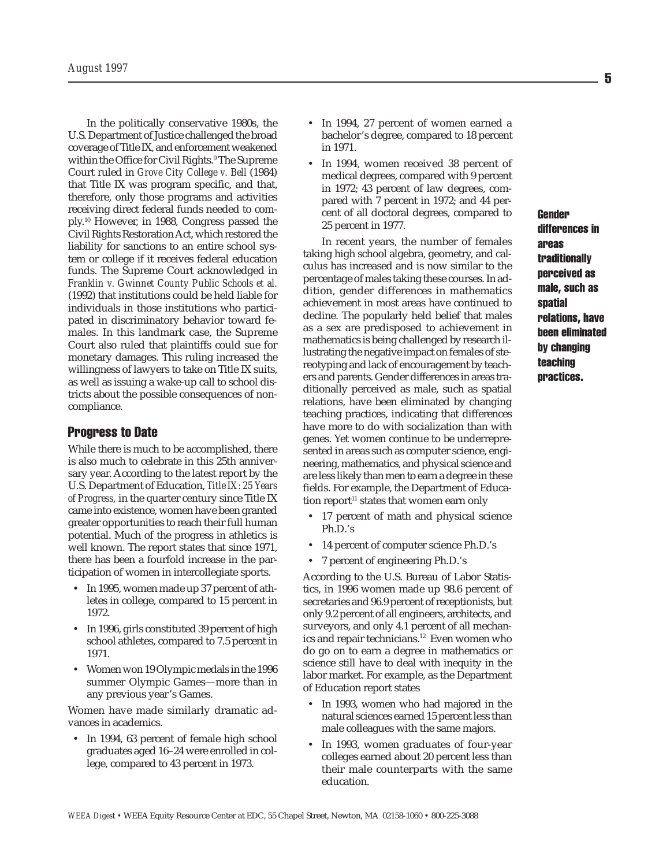In the politically conservative 1980s, the U.S. Department of Justice challenged the broad coverage of Title IX, and enforcement weakened within the Office for Civil Rights.9 The Supreme Court ruled in *Grove City College v. Bell* (1984) that Title IX was program specific, and that, therefore, only those programs and activities receiving direct federal funds needed to comply.10 However, in 1988, Congress passed the Civil Rights Restoration Act, which restored the liability for sanctions to an entire school system or college if it receives federal education funds. The Supreme Court acknowledged in *Franklin v. Gwinnet County Public Schools et al.* (1992) that institutions could be held liable for individuals in those institutions who participated in discriminatory behavior toward females. In this landmark case, the Supreme Court also ruled that plaintiffs could sue for monetary damages. This ruling increased the willingness of lawyers to take on Title IX suits, as well as issuing a wake-up call to school districts about the possible consequences of noncompliance.

#### Progress to Date

While there is much to be accomplished, there is also much to celebrate in this 25th anniversary year. According to the latest report by the U.S. Department of Education, *Title IX: 25 Years of Progress,* in the quarter century since Title IX came into existence, women have been granted greater opportunities to reach their full human potential. Much of the progress in athletics is well known. The report states that since 1971, there has been a fourfold increase in the participation of women in intercollegiate sports.

- In 1995, women made up 37 percent of athletes in college, compared to 15 percent in 1972.
- In 1996, girls constituted 39 percent of high school athletes, compared to 7.5 percent in 1971.
- Women won 19 Olympic medals in the 1996 summer Olympic Games—more than in any previous year's Games.

Women have made similarly dramatic advances in academics.

• In 1994, 63 percent of female high school graduates aged 16–24 were enrolled in college, compared to 43 percent in 1973.

- In 1994, 27 percent of women earned a bachelor's degree, compared to 18 percent in 1971.
- In 1994, women received 38 percent of medical degrees, compared with 9 percent in 1972; 43 percent of law degrees, compared with 7 percent in 1972; and 44 percent of all doctoral degrees, compared to 25 percent in 1977.

In recent years, the number of females taking high school algebra, geometry, and calculus has increased and is now similar to the percentage of males taking these courses. In addition, gender differences in mathematics achievement in most areas have continued to decline. The popularly held belief that males as a sex are predisposed to achievement in mathematics is being challenged by research illustrating the negative impact on females of stereotyping and lack of encouragement by teachers and parents. Gender differences in areas traditionally perceived as male, such as spatial relations, have been eliminated by changing teaching practices, indicating that differences have more to do with socialization than with genes. Yet women continue to be underrepresented in areas such as computer science, engineering, mathematics, and physical science and are less likely than men to earn a degree in these fields. For example, the Department of Education report<sup>11</sup> states that women earn only

- 17 percent of math and physical science Ph.D.'s
- 14 percent of computer science Ph.D.'s
- 7 percent of engineering Ph.D.'s

According to the U.S. Bureau of Labor Statistics, in 1996 women made up 98.6 percent of secretaries and 96.9 percent of receptionists, but only 9.2 percent of all engineers, architects, and surveyors, and only 4.1 percent of all mechanics and repair technicians.<sup>12</sup> Even women who do go on to earn a degree in mathematics or science still have to deal with inequity in the labor market. For example, as the Department of Education report states

- In 1993, women who had majored in the natural sciences earned 15 percent less than male colleagues with the same majors.
- In 1993, women graduates of four-year colleges earned about 20 percent less than their male counterparts with the same education.

**Gender** differences in areas traditionally perceived as male, such as spatial relations, have been eliminated by changing teaching practices.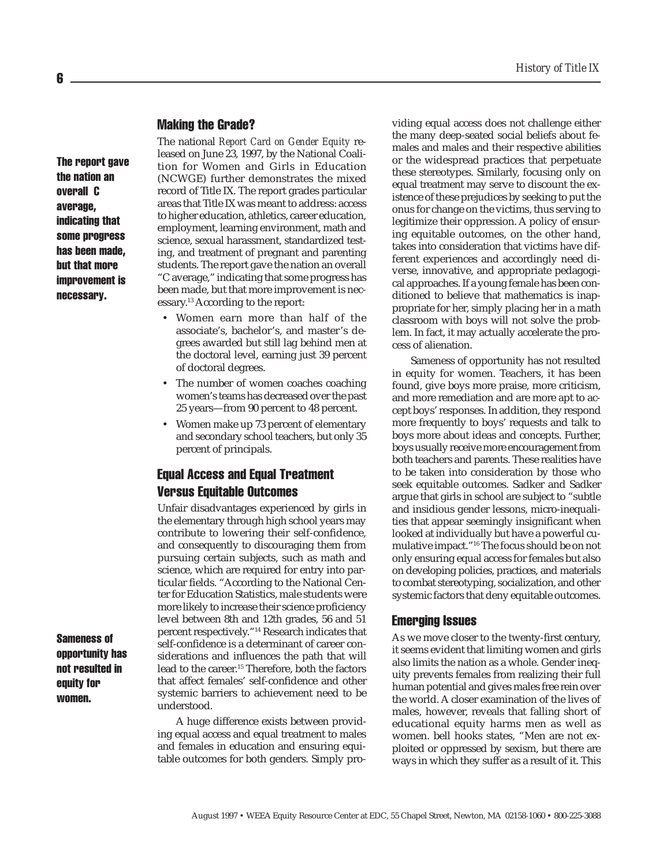#### Making the Grade?

The report gave the nation an overall C average, indicating that some progress has been made, but that more improvement is necessary.

The national *Report Card on Gender Equity* released on June 23, 1997, by the National Coalition for Women and Girls in Education (NCWGE) further demonstrates the mixed record of Title IX. The report grades particular areas that Title IX was meant to address: access to higher education, athletics, career education, employment, learning environment, math and science, sexual harassment, standardized testing, and treatment of pregnant and parenting students. The report gave the nation an overall "C average," indicating that some progress has been made, but that more improvement is necessary.13 According to the report:

- Women earn more than half of the associate's, bachelor's, and master's degrees awarded but still lag behind men at the doctoral level, earning just 39 percent of doctoral degrees.
- The number of women coaches coaching women's teams has decreased over the past 25 years—from 90 percent to 48 percent.
- Women make up 73 percent of elementary and secondary school teachers, but only 35 percent of principals.

## Equal Access and Equal Treatment Versus Equitable Outcomes

Unfair disadvantages experienced by girls in the elementary through high school years may contribute to lowering their self-confidence, and consequently to discouraging them from pursuing certain subjects, such as math and science, which are required for entry into particular fields. "According to the National Center for Education Statistics, male students were more likely to increase their science proficiency level between 8th and 12th grades, 56 and 51 percent respectively."14 Research indicates that self-confidence is a determinant of career considerations and influences the path that will lead to the career.15 Therefore, both the factors that affect females' self-confidence and other systemic barriers to achievement need to be understood.

A huge difference exists between providing equal access and equal treatment to males and females in education and ensuring equitable outcomes for both genders. Simply providing equal access does not challenge either the many deep-seated social beliefs about females and males and their respective abilities or the widespread practices that perpetuate these stereotypes. Similarly, focusing only on equal treatment may serve to discount the existence of these prejudices by seeking to put the onus for change on the victims, thus serving to legitimize their oppression. A policy of ensuring equitable outcomes, on the other hand, takes into consideration that victims have different experiences and accordingly need diverse, innovative, and appropriate pedagogical approaches. If a young female has been conditioned to believe that mathematics is inappropriate for her, simply placing her in a math classroom with boys will not solve the problem. In fact, it may actually accelerate the process of alienation.

Sameness of opportunity has not resulted in equity for women. Teachers, it has been found, give boys more praise, more criticism, and more remediation and are more apt to accept boys' responses. In addition, they respond more frequently to boys' requests and talk to boys more about ideas and concepts. Further, boys usually receive more encouragement from both teachers and parents. These realities have to be taken into consideration by those who seek equitable outcomes. Sadker and Sadker argue that girls in school are subject to "subtle and insidious gender lessons, micro-inequalities that appear seemingly insignificant when looked at individually but have a powerful cumulative impact."16 The focus should be on not only ensuring equal access for females but also on developing policies, practices, and materials to combat stereotyping, socialization, and other systemic factors that deny equitable outcomes.

#### Emerging Issues

As we move closer to the twenty-first century, it seems evident that limiting women and girls also limits the nation as a whole. Gender inequity prevents females from realizing their full human potential and gives males free rein over the world. A closer examination of the lives of males, however, reveals that falling short of educational equity harms men as well as women. bell hooks states, "Men are not exploited or oppressed by sexism, but there are ways in which they suffer as a result of it. This

Sameness of opportunity has not resulted in equity for women.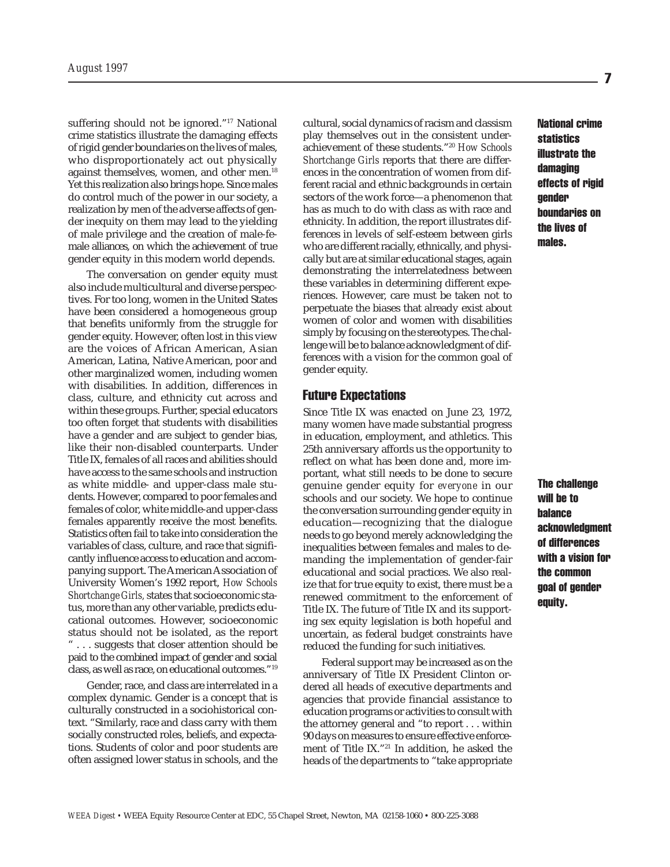suffering should not be ignored."17 National crime statistics illustrate the damaging effects of rigid gender boundaries on the lives of males, who disproportionately act out physically against themselves, women, and other men.<sup>18</sup> Yet this realization also brings hope. Since males do control much of the power in our society, a realization by men of the adverse affects of gender inequity on them may lead to the yielding of male privilege and the creation of male-female alliances, on which the achievement of true gender equity in this modern world depends.

The conversation on gender equity must also include multicultural and diverse perspectives. For too long, women in the United States have been considered a homogeneous group that benefits uniformly from the struggle for gender equity. However, often lost in this view are the voices of African American, Asian American, Latina, Native American, poor and other marginalized women, including women with disabilities. In addition, differences in class, culture, and ethnicity cut across and within these groups. Further, special educators too often forget that students with disabilities have a gender and are subject to gender bias, like their non-disabled counterparts. Under Title IX, females of all races and abilities should have access to the same schools and instruction as white middle- and upper-class male students. However, compared to poor females and females of color, white middle-and upper-class females apparently receive the most benefits. Statistics often fail to take into consideration the variables of class, culture, and race that significantly influence access to education and accompanying support. The American Association of University Women's 1992 report, *How Schools Shortchange Girls,* states that socioeconomic status, more than any other variable, predicts educational outcomes. However, socioeconomic status should not be isolated, as the report " . . . suggests that closer attention should be paid to the combined impact of gender and social class, as well as race, on educational outcomes."19

Gender, race, and class are interrelated in a complex dynamic. Gender is a concept that is culturally constructed in a sociohistorical context. "Similarly, race and class carry with them socially constructed roles, beliefs, and expectations. Students of color and poor students are often assigned lower status in schools, and the

cultural, social dynamics of racism and classism play themselves out in the consistent underachievement of these students."20 *How Schools Shortchange Girls* reports that there are differences in the concentration of women from different racial and ethnic backgrounds in certain sectors of the work force—a phenomenon that has as much to do with class as with race and ethnicity. In addition, the report illustrates differences in levels of self-esteem between girls who are different racially, ethnically, and physically but are at similar educational stages, again demonstrating the interrelatedness between these variables in determining different experiences. However, care must be taken not to perpetuate the biases that already exist about women of color and women with disabilities simply by focusing on the stereotypes. The challenge will be to balance acknowledgment of differences with a vision for the common goal of gender equity.

#### Future Expectations

Since Title IX was enacted on June 23, 1972, many women have made substantial progress in education, employment, and athletics. This 25th anniversary affords us the opportunity to reflect on what has been done and, more important, what still needs to be done to secure genuine gender equity for *everyone* in our schools and our society. We hope to continue the conversation surrounding gender equity in education—recognizing that the dialogue needs to go beyond merely acknowledging the inequalities between females and males to demanding the implementation of gender-fair educational and social practices. We also realize that for true equity to exist, there must be a renewed commitment to the enforcement of Title IX. The future of Title IX and its supporting sex equity legislation is both hopeful and uncertain, as federal budget constraints have reduced the funding for such initiatives.

Federal support may be increased as on the anniversary of Title IX President Clinton ordered all heads of executive departments and agencies that provide financial assistance to education programs or activities to consult with the attorney general and "to report . . . within 90 days on measures to ensure effective enforcement of Title IX."21 In addition, he asked the heads of the departments to "take appropriate

National crime statistics illustrate the damaging effects of rigid gender boundaries on the lives of males.

The challenge will be to balance acknowledgment of differences with a vision for the common goal of gender equity.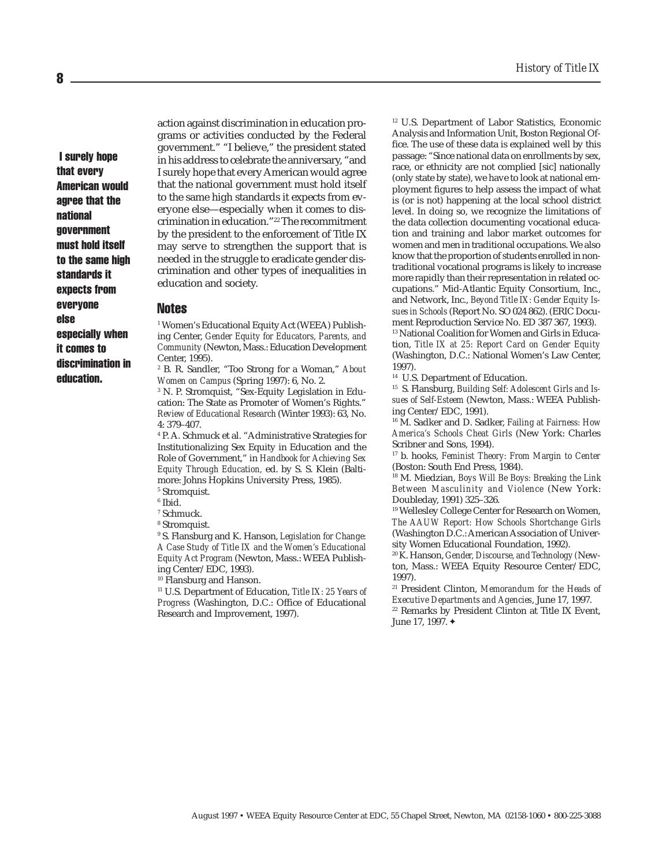I surely hope that every American would agree that the national government must hold itself to the same high standards it expects from everyone else especially when it comes to discrimination in education.

action against discrimination in education programs or activities conducted by the Federal government." "I believe," the president stated in his address to celebrate the anniversary, "and I surely hope that every American would agree that the national government must hold itself to the same high standards it expects from everyone else—especially when it comes to discrimination in education."22 The recommitment by the president to the enforcement of Title IX may serve to strengthen the support that is needed in the struggle to eradicate gender discrimination and other types of inequalities in education and society.

#### Notes

1 Women's Educational Equity Act (WEEA) Publishing Center, *Gender Equity for Educators, Parents, and Community* (Newton, Mass.: Education Development Center, 1995).

2 B. R. Sandler, "Too Strong for a Woman," *About Women on Campus* (Spring 1997): 6, No. 2.

3 N. P. Stromquist, "Sex-Equity Legislation in Education: The State as Promoter of Women's Rights." *Review of Educational Research* (Winter 1993): 63, No. 4: 379–407.

4 P. A. Schmuck et al. "Administrative Strategies for Institutionalizing Sex Equity in Education and the Role of Government," in *Handbook for Achieving Sex Equity Through Education,* ed. by S. S. Klein (Baltimore: Johns Hopkins University Press, 1985).

- 5 Stromquist.
- 6 Ibid.
- 7 Schmuck.
- 8 Stromquist.

9 S. Flansburg and K. Hanson, *Legislation for Change: A Case Study of Title IX and the Women's Educational Equity Act Program* (Newton, Mass.: WEEA Publishing Center/EDC, 1993).

10 Flansburg and Hanson.

11 U.S. Department of Education, *Title IX: 25 Years of Progress* (Washington, D.C.: Office of Educational Research and Improvement, 1997).

12 U.S. Department of Labor Statistics, Economic Analysis and Information Unit, Boston Regional Office. The use of these data is explained well by this passage: "Since national data on enrollments by sex, race, or ethnicity are not complied [sic] nationally (only state by state), we have to look at national employment figures to help assess the impact of what is (or is not) happening at the local school district level. In doing so, we recognize the limitations of the data collection documenting vocational education and training and labor market outcomes for women and men in traditional occupations. We also know that the proportion of students enrolled in nontraditional vocational programs is likely to increase more rapidly than their representation in related occupations." Mid-Atlantic Equity Consortium, Inc., and Network, Inc., *Beyond Title IX: Gender Equity Issues in Schools* (Report No. SO 024 862). (ERIC Document Reproduction Service No. ED 387 367, 1993).

13 National Coalition for Women and Girls in Education, *Title IX at 25: Report Card on Gender Equity* (Washington, D.C.: National Women's Law Center, 1997).

14 U.S. Department of Education.

15 S. Flansburg, *Building Self: Adolescent Girls and Issues of Self-Esteem* (Newton, Mass.: WEEA Publishing Center/EDC, 1991).

16 M. Sadker and D. Sadker, *Failing at Fairness: How America's Schools Cheat Girls* (New York: Charles Scribner and Sons, 1994).

17 b. hooks, *Feminist Theory: From Margin to Center* (Boston: South End Press, 1984).

18 M. Miedzian, *Boys Will Be Boys: Breaking the Link Between Masculinity and Violence* (New York: Doubleday, 1991) 325–326.

<sup>19</sup> Wellesley College Center for Research on Women, *The AAUW Report: How Schools Shortchange Girls* (Washington D.C.: American Association of University Women Educational Foundation, 1992).

20 K. Hanson, *Gender, Discourse, and Technology (*Newton, Mass.: WEEA Equity Resource Center/EDC, 1997).

21 President Clinton, *Memorandum for the Heads of Executive Departments and Agencies*, June 17, 1997.

22 Remarks by President Clinton at Title IX Event, June 17, 1997.✦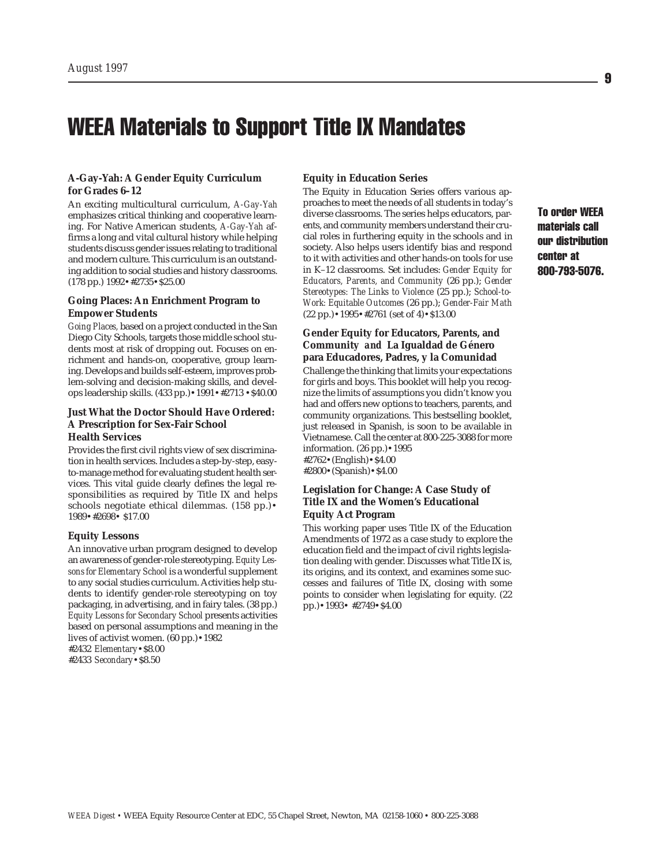## WEEA Materials to Support Title IX Mandates

#### **A-Gay-Yah: A Gender Equity Curriculum for Grades 6–12**

An exciting multicultural curriculum, *A-Gay-Yah* emphasizes critical thinking and cooperative learning. For Native American students, *A-Gay-Yah* affirms a long and vital cultural history while helping students discuss gender issues relating to traditional and modern culture. This curriculum is an outstanding addition to social studies and history classrooms. (178 pp.) 1992•#2735•\$25.00

#### **Going Places: An Enrichment Program to Empower Students**

*Going Places,* based on a project conducted in the San Diego City Schools, targets those middle school students most at risk of dropping out. Focuses on enrichment and hands-on, cooperative, group learning. Develops and builds self-esteem, improves problem-solving and decision-making skills, and develops leadership skills. (433 pp.)•1991•#2713 •\$40.00

#### **Just What the Doctor Should Have Ordered: A Prescription for Sex-Fair School Health Services**

Provides the first civil rights view of sex discrimination in health services. Includes a step-by-step, easyto-manage method for evaluating student health services. This vital guide clearly defines the legal responsibilities as required by Title IX and helps schools negotiate ethical dilemmas. (158 pp.)• 1989•#2698• \$17.00

#### **Equity Lessons**

An innovative urban program designed to develop an awareness of gender-role stereotyping. *Equity Lessons for Elementary School* is a wonderful supplement to any social studies curriculum. Activities help students to identify gender-role stereotyping on toy packaging, in advertising, and in fairy tales. (38 pp.) *Equity Lessons for Secondary School* presents activities based on personal assumptions and meaning in the lives of activist women. (60 pp.)•1982

#2432 *Elementary*•\$8.00

#2433 *Secondary*•\$8.50

#### **Equity in Education Series**

The Equity in Education Series offers various approaches to meet the needs of all students in today's diverse classrooms. The series helps educators, parents, and community members understand their crucial roles in furthering equity in the schools and in society. Also helps users identify bias and respond to it with activities and other hands-on tools for use in K–12 classrooms. Set includes: *Gender Equity for Educators, Parents, and Community* (26 pp.); *Gender Stereotypes: The Links to Violence* (25 pp.); *School-to-Work: Equitable Outcomes* (26 pp.); *Gender-Fair Math* (22 pp.)•1995•#2761 (set of 4)•\$13.00

#### **Gender Equity for Educators, Parents, and Community** *and* **La Igualdad de Género para Educadores, Padres, y la Comunidad**

Challenge the thinking that limits your expectations for girls and boys. This booklet will help you recognize the limits of assumptions you didn't know you had and offers new options to teachers, parents, and community organizations. This bestselling booklet, just released in Spanish, is soon to be available in Vietnamese. Call the center at 800-225-3088 for more information. (26 pp.)•1995

#2762•(English)•\$4.00 #2800•(Spanish)•\$4.00

#### **Legislation for Change: A Case Study of Title IX and the Women's Educational Equity Act Program**

This working paper uses Title IX of the Education Amendments of 1972 as a case study to explore the education field and the impact of civil rights legislation dealing with gender. Discusses what Title IX is, its origins, and its context, and examines some successes and failures of Title IX, closing with some points to consider when legislating for equity. (22 pp.)•1993• #2749•\$4.00

To order WEEA materials call our distribution center at 800-793-5076.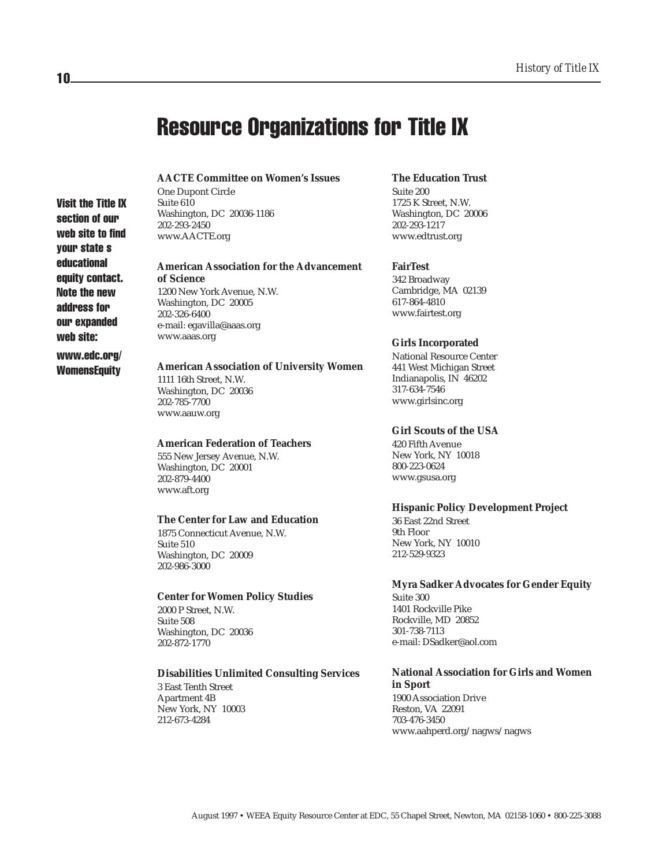## Resource Organizations for Title IX

#### **AACTE Committee on Women's Issues**

One Dupont Circle Suite 610 Washington, DC 20036-1186 202-293-2450 www.AACTE.org

#### **American Association for the Advancement of Science**

1200 New York Avenue, N.W. Washington, DC 20005 202-326-6400 e-mail: egavilla@aaas.org www.aaas.org

#### **American Association of University Women**

1111 16th Street, N.W. Washington, DC 20036 202-785-7700 www.aauw.org

#### **American Federation of Teachers**

555 New Jersey Avenue, N.W. Washington, DC 20001 202-879-4400 www.aft.org

#### **The Center for Law and Education**

1875 Connecticut Avenue, N.W. Suite 510 Washington, DC 20009 202-986-3000

#### **Center for Women Policy Studies**

2000 P Street, N.W. Suite 508 Washington, DC 20036 202-872-1770

#### **Disabilities Unlimited Consulting Services**

3 East Tenth Street Apartment 4B New York, NY 10003 212-673-4284

#### **The Education Trust**

Suite 200 1725 K Street, N.W. Washington, DC 20006 202-293-1217 www.edtrust.org

#### **FairTest**

342 Broadway Cambridge, MA 02139 617-864-4810 www.fairtest.org

#### **Girls Incorporated**

National Resource Center 441 West Michigan Street Indianapolis, IN 46202 317-634-7546 www.girlsinc.org

#### **Girl Scouts of the USA**

420 Fifth Avenue New York, NY 10018 800-223-0624 www.gsusa.org

#### **Hispanic Policy Development Project**

36 East 22nd Street 9th Floor New York, NY 10010 212-529-9323

#### **Myra Sadker Advocates for Gender Equity**

Suite 300 1401 Rockville Pike Rockville, MD 20852 301-738-7113 e-mail: DSadker@aol.com

### **National Association for Girls and Women in Sport**

1900 Association Drive Reston, VA 22091 703-476-3450 www.aahperd.org/nagws/nagws

August 1997 • WEEA Equity Resource Center at EDC, 55 Chapel Street, Newton, MA 02158-1060 • 800-225-3088

10

Visit the Title IX section of our web site to find your state s educational equity contact. Note the new address for our expanded web site: www.edc.org/ **WomensEquity**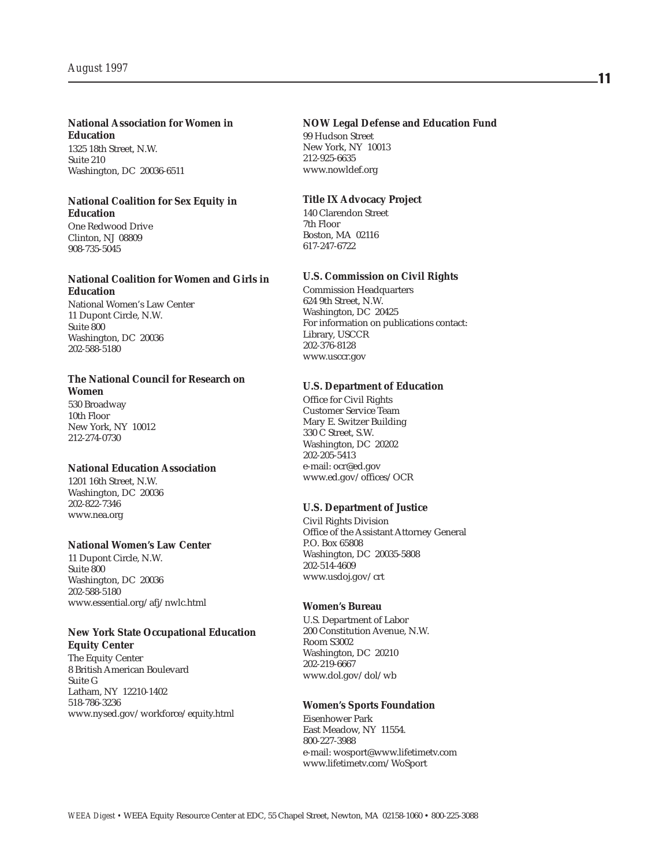#### **National Association for Women in Education**

1325 18th Street, N.W. Suite 210 Washington, DC 20036-6511

#### **National Coalition for Sex Equity in Education**

One Redwood Drive Clinton, NJ 08809 908-735-5045

#### **National Coalition for Women and Girls in Education**

National Women's Law Center 11 Dupont Circle, N.W. Suite 800 Washington, DC 20036 202-588-5180

#### **The National Council for Research on Women**

530 Broadway 10th Floor New York, NY 10012 212-274-0730

#### **National Education Association**

1201 16th Street, N.W. Washington, DC 20036 202-822-7346 www.nea.org

#### **National Women's Law Center**

11 Dupont Circle, N.W. Suite 800 Washington, DC 20036 202-588-5180 www.essential.org/afj/nwlc.html

#### **New York State Occupational Education Equity Center**

The Equity Center 8 British American Boulevard Suite G Latham, NY 12210-1402 518-786-3236 www.nysed.gov/workforce/equity.html

#### **NOW Legal Defense and Education Fund**

99 Hudson Street New York, NY 10013 212-925-6635 www.nowldef.org

#### **Title IX Advocacy Project**

140 Clarendon Street 7th Floor Boston, MA 02116 617-247-6722

#### **U.S. Commission on Civil Rights**

Commission Headquarters 624 9th Street, N.W. Washington, DC 20425 For information on publications contact: Library, USCCR 202-376-8128 www.usccr.gov

#### **U.S. Department of Education**

Office for Civil Rights Customer Service Team Mary E. Switzer Building 330 C Street, S.W. Washington, DC 20202 202-205-5413 e-mail: ocr@ed.gov www.ed.gov/offices/OCR

#### **U.S. Department of Justice**

Civil Rights Division Office of the Assistant Attorney General P.O. Box 65808 Washington, DC 20035-5808 202-514-4609 www.usdoj.gov/crt

#### **Women's Bureau**

U.S. Department of Labor 200 Constitution Avenue, N.W. Room S3002 Washington, DC 20210 202-219-6667 www.dol.gov/dol/wb

#### **Women's Sports Foundation**

Eisenhower Park East Meadow, NY 11554. 800-227-3988 e-mail: wosport@www.lifetimetv.com www.lifetimetv.com/WoSport